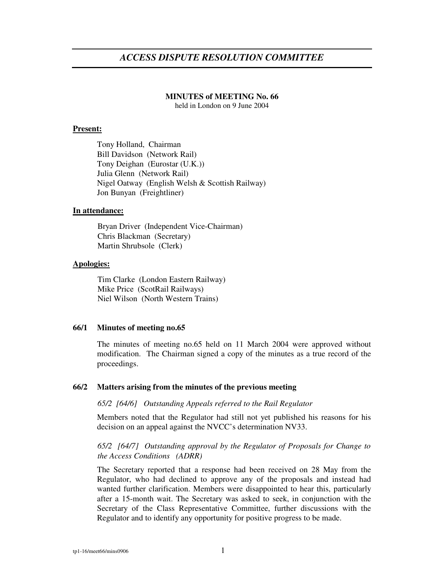# *ACCESS DISPUTE RESOLUTION COMMITTEE*

#### **MINUTES of MEETING No. 66**

held in London on 9 June 2004

### **Present:**

Tony Holland, Chairman Bill Davidson (Network Rail) Tony Deighan (Eurostar (U.K.)) Julia Glenn (Network Rail) Nigel Oatway (English Welsh & Scottish Railway) Jon Bunyan (Freightliner)

### **In attendance:**

Bryan Driver (Independent Vice-Chairman) Chris Blackman (Secretary) Martin Shrubsole (Clerk)

#### **Apologies:**

Tim Clarke (London Eastern Railway) Mike Price (ScotRail Railways) Niel Wilson (North Western Trains)

#### **66/1 Minutes of meeting no.65**

The minutes of meeting no.65 held on 11 March 2004 were approved without modification. The Chairman signed a copy of the minutes as a true record of the proceedings.

### **66/2 Matters arising from the minutes of the previous meeting**

#### *65/2 [64/6] Outstanding Appeals referred to the Rail Regulator*

Members noted that the Regulator had still not yet published his reasons for his decision on an appeal against the NVCC's determination NV33.

### *65/2 [64/7] Outstanding approval by the Regulator of Proposals for Change to the Access Conditions (ADRR)*

The Secretary reported that a response had been received on 28 May from the Regulator, who had declined to approve any of the proposals and instead had wanted further clarification. Members were disappointed to hear this, particularly after a 15-month wait. The Secretary was asked to seek, in conjunction with the Secretary of the Class Representative Committee, further discussions with the Regulator and to identify any opportunity for positive progress to be made.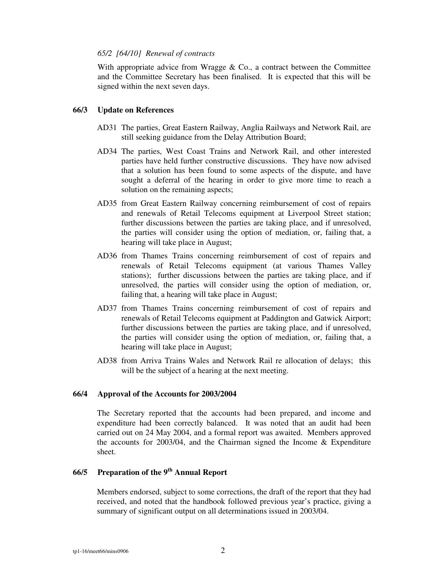### *65/2 [64/10] Renewal of contracts*

With appropriate advice from Wragge  $&$  Co., a contract between the Committee and the Committee Secretary has been finalised. It is expected that this will be signed within the next seven days.

### **66/3 Update on References**

- AD31 The parties, Great Eastern Railway, Anglia Railways and Network Rail, are still seeking guidance from the Delay Attribution Board;
- AD34 The parties, West Coast Trains and Network Rail, and other interested parties have held further constructive discussions. They have now advised that a solution has been found to some aspects of the dispute, and have sought a deferral of the hearing in order to give more time to reach a solution on the remaining aspects;
- AD35 from Great Eastern Railway concerning reimbursement of cost of repairs and renewals of Retail Telecoms equipment at Liverpool Street station; further discussions between the parties are taking place, and if unresolved, the parties will consider using the option of mediation, or, failing that, a hearing will take place in August;
- AD36 from Thames Trains concerning reimbursement of cost of repairs and renewals of Retail Telecoms equipment (at various Thames Valley stations); further discussions between the parties are taking place, and if unresolved, the parties will consider using the option of mediation, or, failing that, a hearing will take place in August;
- AD37 from Thames Trains concerning reimbursement of cost of repairs and renewals of Retail Telecoms equipment at Paddington and Gatwick Airport; further discussions between the parties are taking place, and if unresolved, the parties will consider using the option of mediation, or, failing that, a hearing will take place in August;
- AD38 from Arriva Trains Wales and Network Rail re allocation of delays; this will be the subject of a hearing at the next meeting.

### **66/4 Approval of the Accounts for 2003/2004**

The Secretary reported that the accounts had been prepared, and income and expenditure had been correctly balanced. It was noted that an audit had been carried out on 24 May 2004, and a formal report was awaited. Members approved the accounts for 2003/04, and the Chairman signed the Income & Expenditure sheet.

## **66/5 Preparation of the 9 th Annual Report**

Members endorsed, subject to some corrections, the draft of the report that they had received, and noted that the handbook followed previous year's practice, giving a summary of significant output on all determinations issued in 2003/04.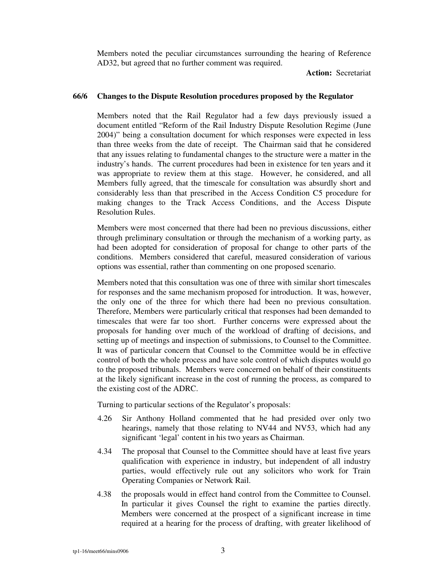Members noted the peculiar circumstances surrounding the hearing of Reference AD32, but agreed that no further comment was required.

**Action:** Secretariat

### **66/6 Changes to the Dispute Resolution procedures proposed by the Regulator**

Members noted that the Rail Regulator had a few days previously issued a document entitled "Reform of the Rail Industry Dispute Resolution Regime (June 2004)" being a consultation document for which responses were expected in less than three weeks from the date of receipt. The Chairman said that he considered that any issues relating to fundamental changes to the structure were a matter in the industry's hands. The current procedures had been in existence for ten years and it was appropriate to review them at this stage. However, he considered, and all Members fully agreed, that the timescale for consultation was absurdly short and considerably less than that prescribed in the Access Condition C5 procedure for making changes to the Track Access Conditions, and the Access Dispute Resolution Rules.

Members were most concerned that there had been no previous discussions, either through preliminary consultation or through the mechanism of a working party, as had been adopted for consideration of proposal for change to other parts of the conditions. Members considered that careful, measured consideration of various options was essential, rather than commenting on one proposed scenario.

Members noted that this consultation was one of three with similar short timescales for responses and the same mechanism proposed for introduction. It was, however, the only one of the three for which there had been no previous consultation. Therefore, Members were particularly critical that responses had been demanded to timescales that were far too short. Further concerns were expressed about the proposals for handing over much of the workload of drafting of decisions, and setting up of meetings and inspection of submissions, to Counsel to the Committee. It was of particular concern that Counsel to the Committee would be in effective control of both the whole process and have sole control of which disputes would go to the proposed tribunals. Members were concerned on behalf of their constituents at the likely significant increase in the cost of running the process, as compared to the existing cost of the ADRC.

Turning to particular sections of the Regulator's proposals:

- 4.26 Sir Anthony Holland commented that he had presided over only two hearings, namely that those relating to NV44 and NV53, which had any significant 'legal' content in his two years as Chairman.
- 4.34 The proposal that Counsel to the Committee should have at least five years qualification with experience in industry, but independent of all industry parties, would effectively rule out any solicitors who work for Train Operating Companies or Network Rail.
- 4.38 the proposals would in effect hand control from the Committee to Counsel. In particular it gives Counsel the right to examine the parties directly. Members were concerned at the prospect of a significant increase in time required at a hearing for the process of drafting, with greater likelihood of